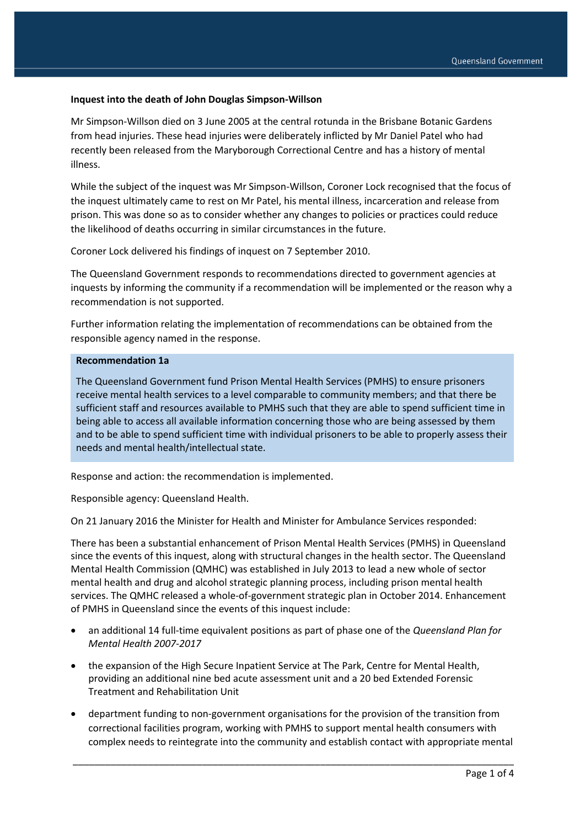#### **Inquest into the death of John Douglas Simpson-Willson**

Mr Simpson-Willson died on 3 June 2005 at the central rotunda in the Brisbane Botanic Gardens from head injuries. These head injuries were deliberately inflicted by Mr Daniel Patel who had recently been released from the Maryborough Correctional Centre and has a history of mental illness.

While the subject of the inquest was Mr Simpson-Willson, Coroner Lock recognised that the focus of the inquest ultimately came to rest on Mr Patel, his mental illness, incarceration and release from prison. This was done so as to consider whether any changes to policies or practices could reduce the likelihood of deaths occurring in similar circumstances in the future.

Coroner Lock delivered his findings of inquest on 7 September 2010.

The Queensland Government responds to recommendations directed to government agencies at inquests by informing the community if a recommendation will be implemented or the reason why a recommendation is not supported.

Further information relating the implementation of recommendations can be obtained from the responsible agency named in the response.

#### **Recommendation 1a**

The Queensland Government fund Prison Mental Health Services (PMHS) to ensure prisoners receive mental health services to a level comparable to community members; and that there be sufficient staff and resources available to PMHS such that they are able to spend sufficient time in being able to access all available information concerning those who are being assessed by them and to be able to spend sufficient time with individual prisoners to be able to properly assess their needs and mental health/intellectual state.

Response and action: the recommendation is implemented.

Responsible agency: Queensland Health.

On 21 January 2016 the Minister for Health and Minister for Ambulance Services responded:

There has been a substantial enhancement of Prison Mental Health Services (PMHS) in Queensland since the events of this inquest, along with structural changes in the health sector. The Queensland Mental Health Commission (QMHC) was established in July 2013 to lead a new whole of sector mental health and drug and alcohol strategic planning process, including prison mental health services. The QMHC released a whole-of-government strategic plan in October 2014. Enhancement of PMHS in Queensland since the events of this inquest include:

- an additional 14 full-time equivalent positions as part of phase one of the *Queensland Plan for Mental Health 2007-2017*
- the expansion of the High Secure Inpatient Service at The Park, Centre for Mental Health, providing an additional nine bed acute assessment unit and a 20 bed Extended Forensic Treatment and Rehabilitation Unit
- department funding to non-government organisations for the provision of the transition from correctional facilities program, working with PMHS to support mental health consumers with complex needs to reintegrate into the community and establish contact with appropriate mental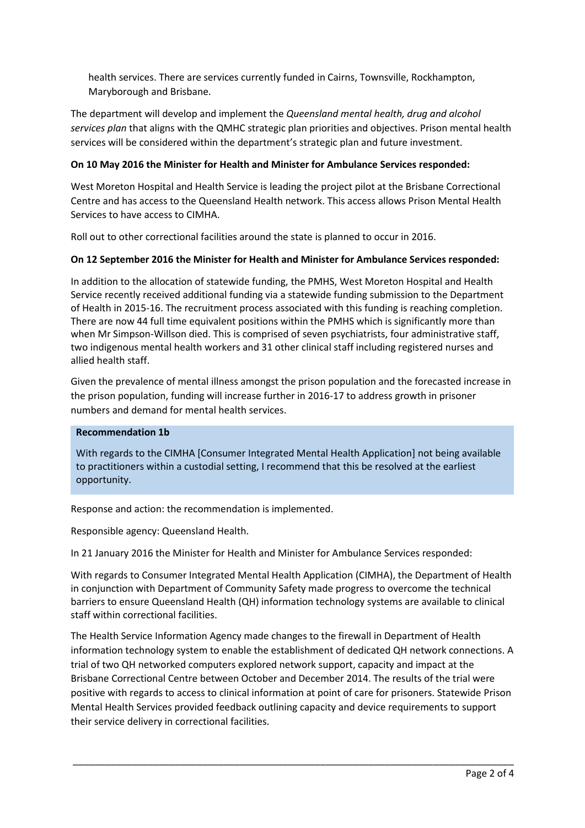health services. There are services currently funded in Cairns, Townsville, Rockhampton, Maryborough and Brisbane.

The department will develop and implement the *Queensland mental health, drug and alcohol services plan* that aligns with the QMHC strategic plan priorities and objectives. Prison mental health services will be considered within the department's strategic plan and future investment.

# **On 10 May 2016 the Minister for Health and Minister for Ambulance Services responded:**

West Moreton Hospital and Health Service is leading the project pilot at the Brisbane Correctional Centre and has access to the Queensland Health network. This access allows Prison Mental Health Services to have access to CIMHA.

Roll out to other correctional facilities around the state is planned to occur in 2016.

## **On 12 September 2016 the Minister for Health and Minister for Ambulance Services responded:**

In addition to the allocation of statewide funding, the PMHS, West Moreton Hospital and Health Service recently received additional funding via a statewide funding submission to the Department of Health in 2015-16. The recruitment process associated with this funding is reaching completion. There are now 44 full time equivalent positions within the PMHS which is significantly more than when Mr Simpson-Willson died. This is comprised of seven psychiatrists, four administrative staff, two indigenous mental health workers and 31 other clinical staff including registered nurses and allied health staff.

Given the prevalence of mental illness amongst the prison population and the forecasted increase in the prison population, funding will increase further in 2016-17 to address growth in prisoner numbers and demand for mental health services.

### **Recommendation 1b**

With regards to the CIMHA [Consumer Integrated Mental Health Application] not being available to practitioners within a custodial setting, I recommend that this be resolved at the earliest opportunity.

Response and action: the recommendation is implemented.

Responsible agency: Queensland Health.

In 21 January 2016 the Minister for Health and Minister for Ambulance Services responded:

With regards to Consumer Integrated Mental Health Application (CIMHA), the Department of Health in conjunction with Department of Community Safety made progress to overcome the technical barriers to ensure Queensland Health (QH) information technology systems are available to clinical staff within correctional facilities.

The Health Service Information Agency made changes to the firewall in Department of Health information technology system to enable the establishment of dedicated QH network connections. A trial of two QH networked computers explored network support, capacity and impact at the Brisbane Correctional Centre between October and December 2014. The results of the trial were positive with regards to access to clinical information at point of care for prisoners. Statewide Prison Mental Health Services provided feedback outlining capacity and device requirements to support their service delivery in correctional facilities.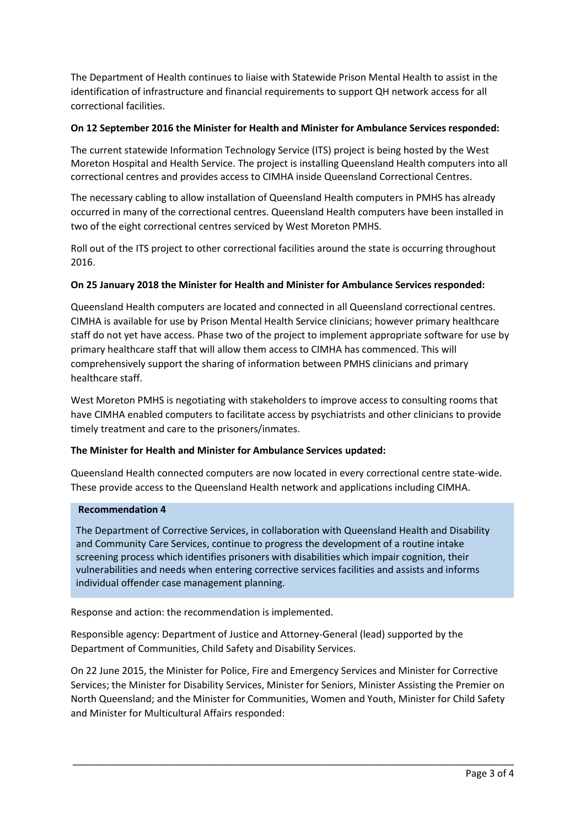The Department of Health continues to liaise with Statewide Prison Mental Health to assist in the identification of infrastructure and financial requirements to support QH network access for all correctional facilities.

## **On 12 September 2016 the Minister for Health and Minister for Ambulance Services responded:**

The current statewide Information Technology Service (ITS) project is being hosted by the West Moreton Hospital and Health Service. The project is installing Queensland Health computers into all correctional centres and provides access to CIMHA inside Queensland Correctional Centres.

The necessary cabling to allow installation of Queensland Health computers in PMHS has already occurred in many of the correctional centres. Queensland Health computers have been installed in two of the eight correctional centres serviced by West Moreton PMHS.

Roll out of the ITS project to other correctional facilities around the state is occurring throughout 2016.

## **On 25 January 2018 the Minister for Health and Minister for Ambulance Services responded:**

Queensland Health computers are located and connected in all Queensland correctional centres. CIMHA is available for use by Prison Mental Health Service clinicians; however primary healthcare staff do not yet have access. Phase two of the project to implement appropriate software for use by primary healthcare staff that will allow them access to CIMHA has commenced. This will comprehensively support the sharing of information between PMHS clinicians and primary healthcare staff.

West Moreton PMHS is negotiating with stakeholders to improve access to consulting rooms that have CIMHA enabled computers to facilitate access by psychiatrists and other clinicians to provide timely treatment and care to the prisoners/inmates.

### **The Minister for Health and Minister for Ambulance Services updated:**

Queensland Health connected computers are now located in every correctional centre state-wide. These provide access to the Queensland Health network and applications including CIMHA.

### **Recommendation 4**

The Department of Corrective Services, in collaboration with Queensland Health and Disability and Community Care Services, continue to progress the development of a routine intake screening process which identifies prisoners with disabilities which impair cognition, their vulnerabilities and needs when entering corrective services facilities and assists and informs individual offender case management planning.

Response and action: the recommendation is implemented.

Responsible agency: Department of Justice and Attorney-General (lead) supported by the Department of Communities, Child Safety and Disability Services.

On 22 June 2015, the Minister for Police, Fire and Emergency Services and Minister for Corrective Services; the Minister for Disability Services, Minister for Seniors, Minister Assisting the Premier on North Queensland; and the Minister for Communities, Women and Youth, Minister for Child Safety and Minister for Multicultural Affairs responded: